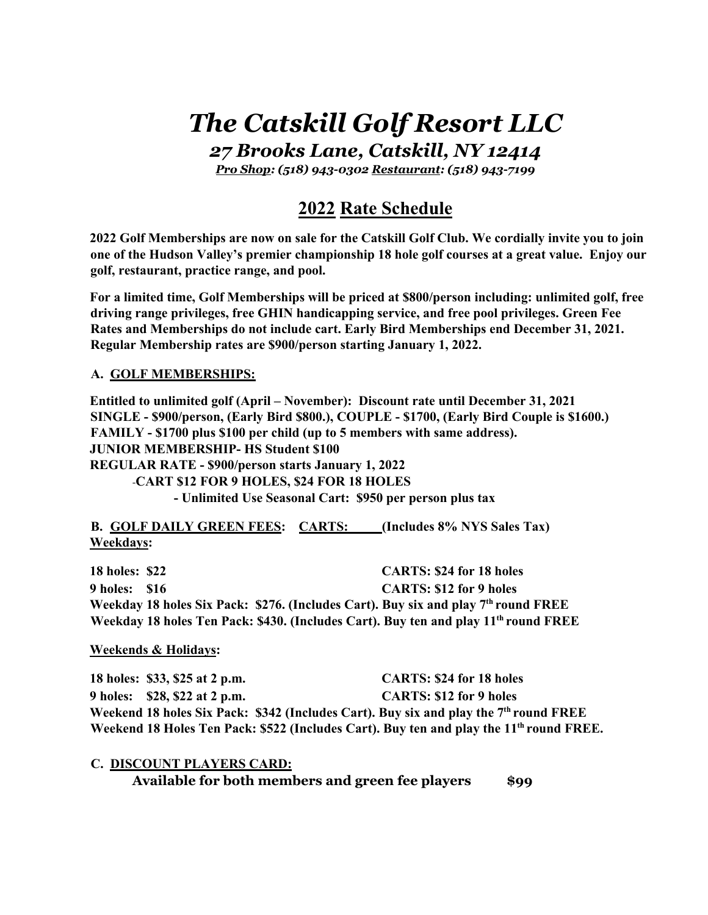# *The Catskill Golf Resort LLC*

*27 Brooks Lane, Catskill, NY 12414*

*Pro Shop: (518) 943-0302 Restaurant: (518) 943-7199*

## **2022 Rate Schedule**

**2022 Golf Memberships are now on sale for the Catskill Golf Club. We cordially invite you to join one of the Hudson Valley's premier championship 18 hole golf courses at a great value. Enjoy our golf, restaurant, practice range, and pool.**

**For a limited time, Golf Memberships will be priced at \$800/person including: unlimited golf, free driving range privileges, free GHIN handicapping service, and free pool privileges. Green Fee Rates and Memberships do not include cart. Early Bird Memberships end December 31, 2021. Regular Membership rates are \$900/person starting January 1, 2022.**

#### **A. GOLF MEMBERSHIPS:**

**Entitled to unlimited golf (April – November): Discount rate until December 31, 2021 SINGLE - \$900/person, (Early Bird \$800.), COUPLE - \$1700, (Early Bird Couple is \$1600.) FAMILY - \$1700 plus \$100 per child (up to 5 members with same address). JUNIOR MEMBERSHIP- HS Student \$100 REGULAR RATE - \$900/person starts January 1, 2022** -**CART \$12 FOR 9 HOLES, \$24 FOR 18 HOLES - Unlimited Use Seasonal Cart: \$950 per person plus tax**

**B. GOLF DAILY GREEN FEES: CARTS: (Includes 8% NYS Sales Tax) Weekdays:**

**18 holes: \$22 CARTS: \$24 for 18 holes 9 holes: \$16 CARTS: \$12 for 9 holes** Weekday 18 holes Six Pack: \$276. (Includes Cart). Buy six and play 7<sup>th</sup> round FREE **Weekday 18 holes Ten Pack: \$430. (Includes Cart). Buy ten and play 11th round FREE**

#### **Weekends & Holidays:**

**18 holes: \$33, \$25 at 2 p.m. CARTS: \$24 for 18 holes 9 holes: \$28, \$22 at 2 p.m. CARTS: \$12 for 9 holes** Weekend 18 holes Six Pack: \$342 (Includes Cart). Buy six and play the 7<sup>th</sup> round FREE Weekend 18 Holes Ten Pack: \$522 (Includes Cart). Buy ten and play the 11<sup>th</sup> round FREE.

**C. DISCOUNT PLAYERS CARD:** Available for both members and green fee players \$99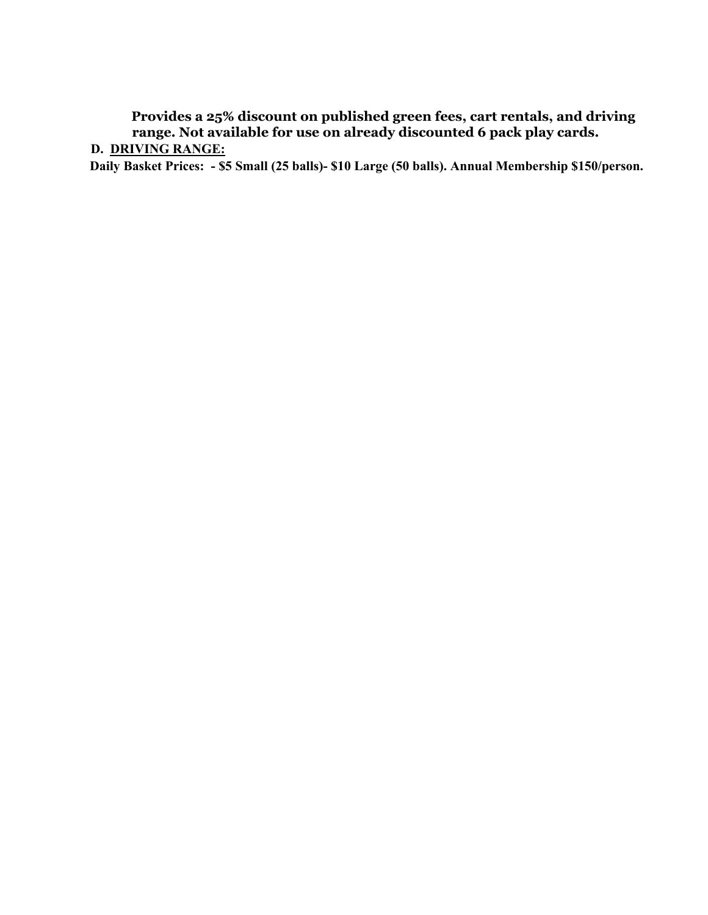**Provides a 25% discount on published green fees, cart rentals, and driving range. Not available for use on already discounted 6 pack play cards.**

### **D. DRIVING RANGE:**

**Daily Basket Prices: - \$5 Small (25 balls)- \$10 Large (50 balls). Annual Membership \$150/person.**